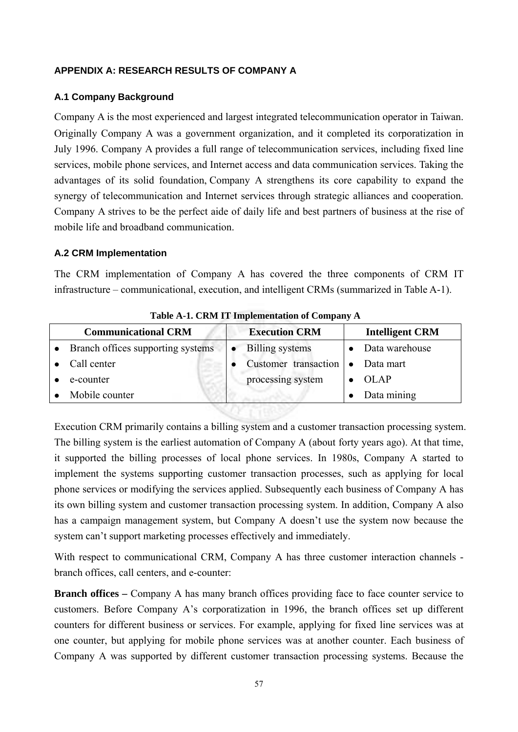## **APPENDIX A: RESEARCH RESULTS OF COMPANY A**

#### **A.1 Company Background**

Company A is the most experienced and largest integrated telecommunication operator in Taiwan. Originally Company A was a government organization, and it completed its corporatization in July 1996. Company A provides a full range of telecommunication services, including fixed line services, mobile phone services, and Internet access and data communication services. Taking the advantages of its solid foundation, Company A strengthens its core capability to expand the synergy of telecommunication and Internet services through strategic alliances and cooperation. Company A strives to be the perfect aide of daily life and best partners of business at the rise of mobile life and broadband communication.

## **A.2 CRM Implementation**

The CRM implementation of Company A has covered the three components of CRM IT infrastructure – communicational, execution, and intelligent CRMs (summarized in Table A-1).

| <b>Communicational CRM</b>        | <b>Execution CRM</b> |                        |           | <b>Intelligent CRM</b> |
|-----------------------------------|----------------------|------------------------|-----------|------------------------|
| Branch offices supporting systems |                      | <b>Billing</b> systems |           | Data warehouse         |
| Call center                       |                      | Customer transaction   | $\bullet$ | Data mart              |
| e-counter                         |                      | processing system      |           | <b>OLAP</b>            |
| Mobile counter                    |                      |                        |           | Data mining            |

WAY TWA?

**Table A-1. CRM IT Implementation of Company A**

Execution CRM primarily contains a billing system and a customer transaction processing system. The billing system is the earliest automation of Company A (about forty years ago). At that time, it supported the billing processes of local phone services. In 1980s, Company A started to implement the systems supporting customer transaction processes, such as applying for local phone services or modifying the services applied. Subsequently each business of Company A has its own billing system and customer transaction processing system. In addition, Company A also has a campaign management system, but Company A doesn't use the system now because the system can't support marketing processes effectively and immediately.

With respect to communicational CRM, Company A has three customer interaction channels branch offices, call centers, and e-counter:

**Branch offices** – Company A has many branch offices providing face to face counter service to customers. Before Company A's corporatization in 1996, the branch offices set up different counters for different business or services. For example, applying for fixed line services was at one counter, but applying for mobile phone services was at another counter. Each business of Company A was supported by different customer transaction processing systems. Because the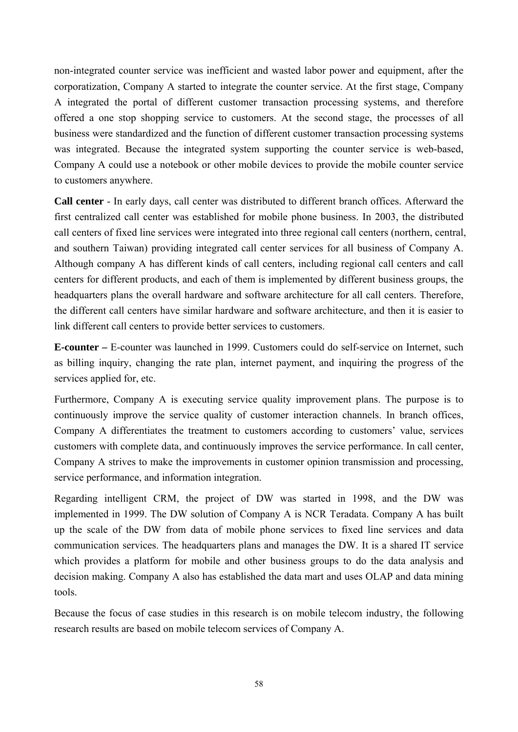non-integrated counter service was inefficient and wasted labor power and equipment, after the corporatization, Company A started to integrate the counter service. At the first stage, Company A integrated the portal of different customer transaction processing systems, and therefore offered a one stop shopping service to customers. At the second stage, the processes of all business were standardized and the function of different customer transaction processing systems was integrated. Because the integrated system supporting the counter service is web-based, Company A could use a notebook or other mobile devices to provide the mobile counter service to customers anywhere.

**Call center** - In early days, call center was distributed to different branch offices. Afterward the first centralized call center was established for mobile phone business. In 2003, the distributed call centers of fixed line services were integrated into three regional call centers (northern, central, and southern Taiwan) providing integrated call center services for all business of Company A. Although company A has different kinds of call centers, including regional call centers and call centers for different products, and each of them is implemented by different business groups, the headquarters plans the overall hardware and software architecture for all call centers. Therefore, the different call centers have similar hardware and software architecture, and then it is easier to link different call centers to provide better services to customers.

**E-counter –** E-counter was launched in 1999. Customers could do self-service on Internet, such as billing inquiry, changing the rate plan, internet payment, and inquiring the progress of the services applied for, etc.

Furthermore, Company A is executing service quality improvement plans. The purpose is to continuously improve the service quality of customer interaction channels. In branch offices, Company A differentiates the treatment to customers according to customers' value, services customers with complete data, and continuously improves the service performance. In call center, Company A strives to make the improvements in customer opinion transmission and processing, service performance, and information integration.

Regarding intelligent CRM, the project of DW was started in 1998, and the DW was implemented in 1999. The DW solution of Company A is NCR Teradata. Company A has built up the scale of the DW from data of mobile phone services to fixed line services and data communication services. The headquarters plans and manages the DW. It is a shared IT service which provides a platform for mobile and other business groups to do the data analysis and decision making. Company A also has established the data mart and uses OLAP and data mining tools.

Because the focus of case studies in this research is on mobile telecom industry, the following research results are based on mobile telecom services of Company A.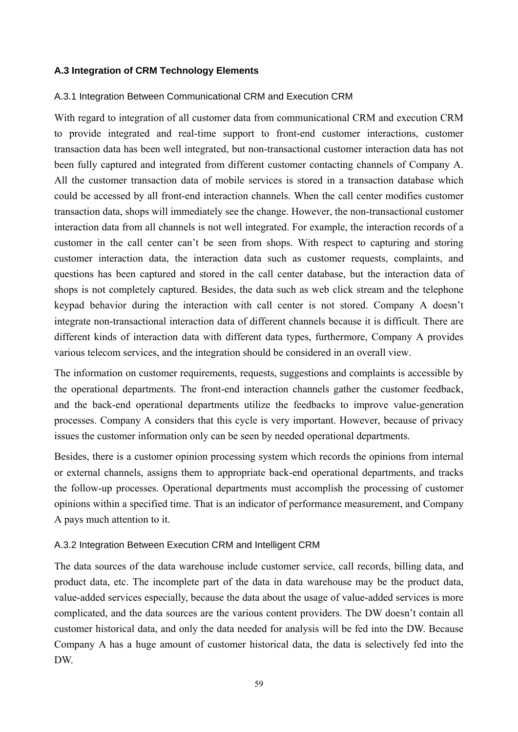## **A.3 Integration of CRM Technology Elements**

#### A.3.1 Integration Between Communicational CRM and Execution CRM

With regard to integration of all customer data from communicational CRM and execution CRM to provide integrated and real-time support to front-end customer interactions, customer transaction data has been well integrated, but non-transactional customer interaction data has not been fully captured and integrated from different customer contacting channels of Company A. All the customer transaction data of mobile services is stored in a transaction database which could be accessed by all front-end interaction channels. When the call center modifies customer transaction data, shops will immediately see the change. However, the non-transactional customer interaction data from all channels is not well integrated. For example, the interaction records of a customer in the call center can't be seen from shops. With respect to capturing and storing customer interaction data, the interaction data such as customer requests, complaints, and questions has been captured and stored in the call center database, but the interaction data of shops is not completely captured. Besides, the data such as web click stream and the telephone keypad behavior during the interaction with call center is not stored. Company A doesn't integrate non-transactional interaction data of different channels because it is difficult. There are different kinds of interaction data with different data types, furthermore, Company A provides various telecom services, and the integration should be considered in an overall view.

The information on customer requirements, requests, suggestions and complaints is accessible by the operational departments. The front-end interaction channels gather the customer feedback, and the back-end operational departments utilize the feedbacks to improve value-generation processes. Company A considers that this cycle is very important. However, because of privacy issues the customer information only can be seen by needed operational departments.

Besides, there is a customer opinion processing system which records the opinions from internal or external channels, assigns them to appropriate back-end operational departments, and tracks the follow-up processes. Operational departments must accomplish the processing of customer opinions within a specified time. That is an indicator of performance measurement, and Company A pays much attention to it.

#### A.3.2 Integration Between Execution CRM and Intelligent CRM

The data sources of the data warehouse include customer service, call records, billing data, and product data, etc. The incomplete part of the data in data warehouse may be the product data, value-added services especially, because the data about the usage of value-added services is more complicated, and the data sources are the various content providers. The DW doesn't contain all customer historical data, and only the data needed for analysis will be fed into the DW. Because Company A has a huge amount of customer historical data, the data is selectively fed into the DW.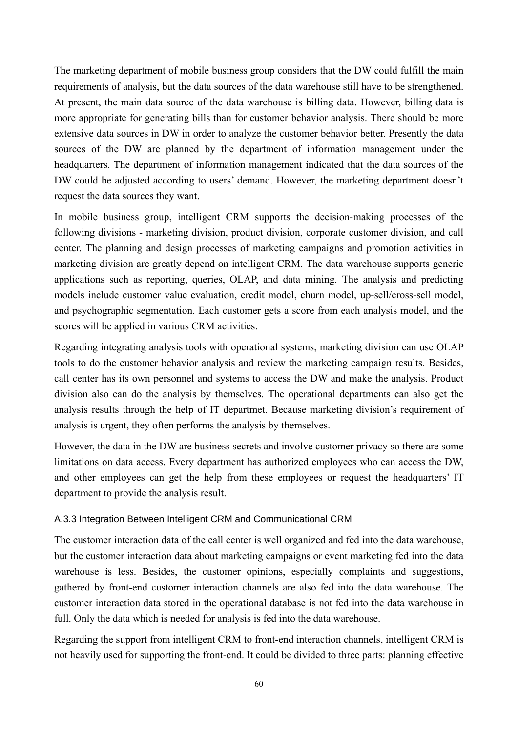The marketing department of mobile business group considers that the DW could fulfill the main requirements of analysis, but the data sources of the data warehouse still have to be strengthened. At present, the main data source of the data warehouse is billing data. However, billing data is more appropriate for generating bills than for customer behavior analysis. There should be more extensive data sources in DW in order to analyze the customer behavior better. Presently the data sources of the DW are planned by the department of information management under the headquarters. The department of information management indicated that the data sources of the DW could be adjusted according to users' demand. However, the marketing department doesn't request the data sources they want.

In mobile business group, intelligent CRM supports the decision-making processes of the following divisions - marketing division, product division, corporate customer division, and call center. The planning and design processes of marketing campaigns and promotion activities in marketing division are greatly depend on intelligent CRM. The data warehouse supports generic applications such as reporting, queries, OLAP, and data mining. The analysis and predicting models include customer value evaluation, credit model, churn model, up-sell/cross-sell model, and psychographic segmentation. Each customer gets a score from each analysis model, and the scores will be applied in various CRM activities.

Regarding integrating analysis tools with operational systems, marketing division can use OLAP tools to do the customer behavior analysis and review the marketing campaign results. Besides, call center has its own personnel and systems to access the DW and make the analysis. Product division also can do the analysis by themselves. The operational departments can also get the analysis results through the help of IT departmet. Because marketing division's requirement of analysis is urgent, they often performs the analysis by themselves.

However, the data in the DW are business secrets and involve customer privacy so there are some limitations on data access. Every department has authorized employees who can access the DW, and other employees can get the help from these employees or request the headquarters' IT department to provide the analysis result.

# A.3.3 Integration Between Intelligent CRM and Communicational CRM

The customer interaction data of the call center is well organized and fed into the data warehouse, but the customer interaction data about marketing campaigns or event marketing fed into the data warehouse is less. Besides, the customer opinions, especially complaints and suggestions, gathered by front-end customer interaction channels are also fed into the data warehouse. The customer interaction data stored in the operational database is not fed into the data warehouse in full. Only the data which is needed for analysis is fed into the data warehouse.

Regarding the support from intelligent CRM to front-end interaction channels, intelligent CRM is not heavily used for supporting the front-end. It could be divided to three parts: planning effective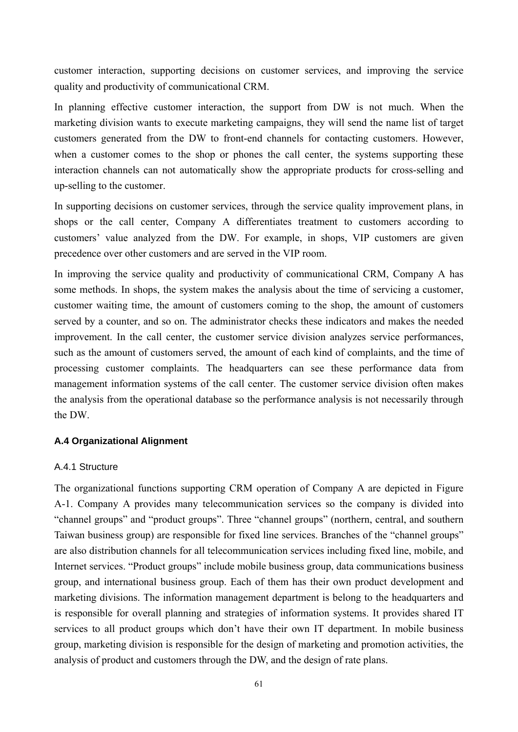customer interaction, supporting decisions on customer services, and improving the service quality and productivity of communicational CRM.

In planning effective customer interaction, the support from DW is not much. When the marketing division wants to execute marketing campaigns, they will send the name list of target customers generated from the DW to front-end channels for contacting customers. However, when a customer comes to the shop or phones the call center, the systems supporting these interaction channels can not automatically show the appropriate products for cross-selling and up-selling to the customer.

In supporting decisions on customer services, through the service quality improvement plans, in shops or the call center, Company A differentiates treatment to customers according to customers' value analyzed from the DW. For example, in shops, VIP customers are given precedence over other customers and are served in the VIP room.

In improving the service quality and productivity of communicational CRM, Company A has some methods. In shops, the system makes the analysis about the time of servicing a customer, customer waiting time, the amount of customers coming to the shop, the amount of customers served by a counter, and so on. The administrator checks these indicators and makes the needed improvement. In the call center, the customer service division analyzes service performances, such as the amount of customers served, the amount of each kind of complaints, and the time of processing customer complaints. The headquarters can see these performance data from management information systems of the call center. The customer service division often makes the analysis from the operational database so the performance analysis is not necessarily through the DW.

# **A.4 Organizational Alignment**

#### A.4.1 Structure

The organizational functions supporting CRM operation of Company A are depicted in Figure A-1. Company A provides many telecommunication services so the company is divided into "channel groups" and "product groups". Three "channel groups" (northern, central, and southern Taiwan business group) are responsible for fixed line services. Branches of the "channel groups" are also distribution channels for all telecommunication services including fixed line, mobile, and Internet services. "Product groups" include mobile business group, data communications business group, and international business group. Each of them has their own product development and marketing divisions. The information management department is belong to the headquarters and is responsible for overall planning and strategies of information systems. It provides shared IT services to all product groups which don't have their own IT department. In mobile business group, marketing division is responsible for the design of marketing and promotion activities, the analysis of product and customers through the DW, and the design of rate plans.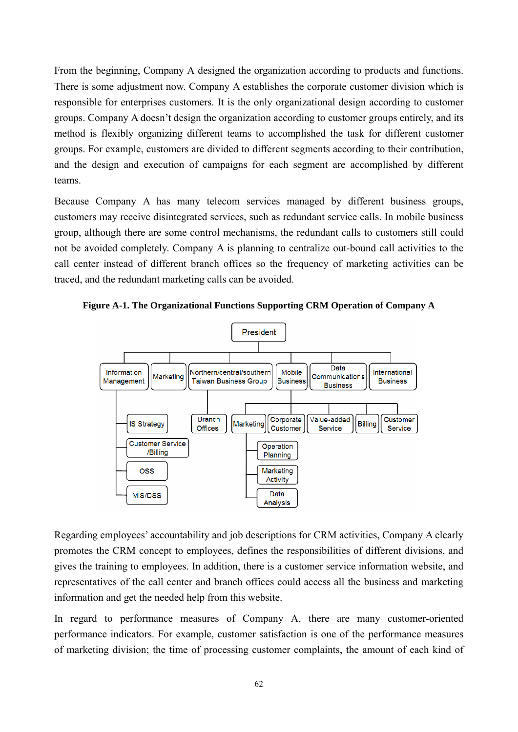From the beginning, Company A designed the organization according to products and functions. There is some adjustment now. Company A establishes the corporate customer division which is responsible for enterprises customers. It is the only organizational design according to customer groups. Company A doesn't design the organization according to customer groups entirely, and its method is flexibly organizing different teams to accomplished the task for different customer groups. For example, customers are divided to different segments according to their contribution, and the design and execution of campaigns for each segment are accomplished by different teams.

Because Company A has many telecom services managed by different business groups, customers may receive disintegrated services, such as redundant service calls. In mobile business group, although there are some control mechanisms, the redundant calls to customers still could not be avoided completely. Company A is planning to centralize out-bound call activities to the call center instead of different branch offices so the frequency of marketing activities can be traced, and the redundant marketing calls can be avoided.





Regarding employees' accountability and job descriptions for CRM activities, Company A clearly promotes the CRM concept to employees, defines the responsibilities of different divisions, and gives the training to employees. In addition, there is a customer service information website, and representatives of the call center and branch offices could access all the business and marketing information and get the needed help from this website.

In regard to performance measures of Company A, there are many customer-oriented performance indicators. For example, customer satisfaction is one of the performance measures of marketing division; the time of processing customer complaints, the amount of each kind of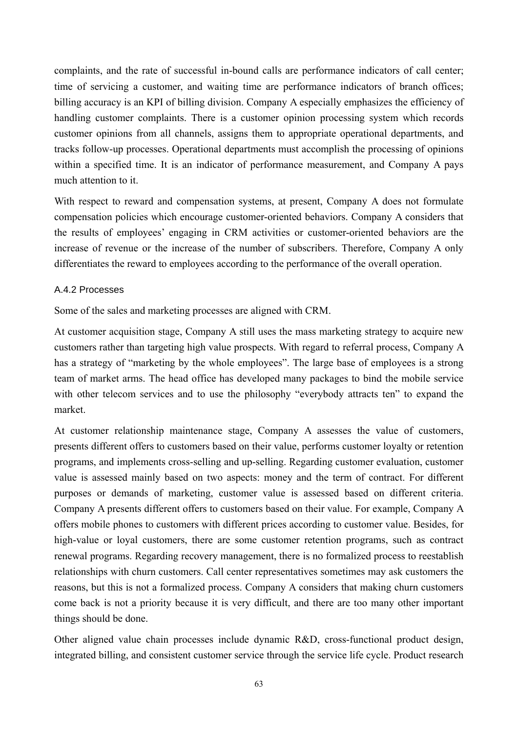complaints, and the rate of successful in-bound calls are performance indicators of call center; time of servicing a customer, and waiting time are performance indicators of branch offices; billing accuracy is an KPI of billing division. Company A especially emphasizes the efficiency of handling customer complaints. There is a customer opinion processing system which records customer opinions from all channels, assigns them to appropriate operational departments, and tracks follow-up processes. Operational departments must accomplish the processing of opinions within a specified time. It is an indicator of performance measurement, and Company A pays much attention to it.

With respect to reward and compensation systems, at present, Company A does not formulate compensation policies which encourage customer-oriented behaviors. Company A considers that the results of employees' engaging in CRM activities or customer-oriented behaviors are the increase of revenue or the increase of the number of subscribers. Therefore, Company A only differentiates the reward to employees according to the performance of the overall operation.

## A.4.2 Processes

Some of the sales and marketing processes are aligned with CRM.

At customer acquisition stage, Company A still uses the mass marketing strategy to acquire new customers rather than targeting high value prospects. With regard to referral process, Company A has a strategy of "marketing by the whole employees". The large base of employees is a strong team of market arms. The head office has developed many packages to bind the mobile service with other telecom services and to use the philosophy "everybody attracts ten" to expand the market.

At customer relationship maintenance stage, Company A assesses the value of customers, presents different offers to customers based on their value, performs customer loyalty or retention programs, and implements cross-selling and up-selling. Regarding customer evaluation, customer value is assessed mainly based on two aspects: money and the term of contract. For different purposes or demands of marketing, customer value is assessed based on different criteria. Company A presents different offers to customers based on their value. For example, Company A offers mobile phones to customers with different prices according to customer value. Besides, for high-value or loyal customers, there are some customer retention programs, such as contract renewal programs. Regarding recovery management, there is no formalized process to reestablish relationships with churn customers. Call center representatives sometimes may ask customers the reasons, but this is not a formalized process. Company A considers that making churn customers come back is not a priority because it is very difficult, and there are too many other important things should be done.

Other aligned value chain processes include dynamic R&D, cross-functional product design, integrated billing, and consistent customer service through the service life cycle. Product research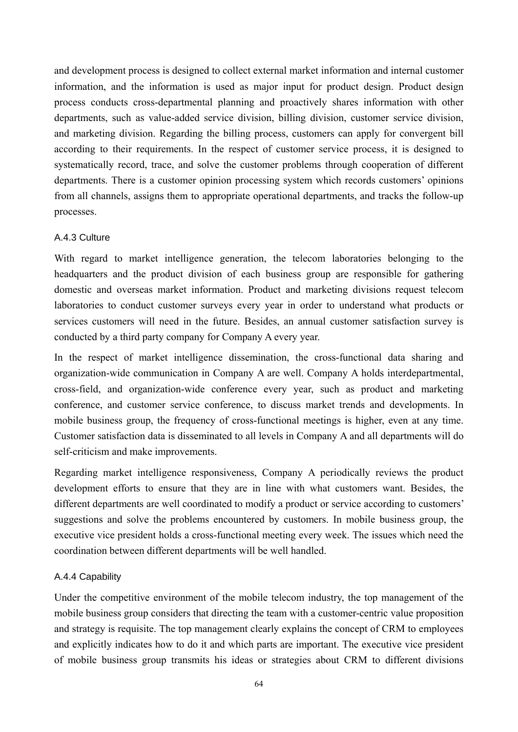and development process is designed to collect external market information and internal customer information, and the information is used as major input for product design. Product design process conducts cross-departmental planning and proactively shares information with other departments, such as value-added service division, billing division, customer service division, and marketing division. Regarding the billing process, customers can apply for convergent bill according to their requirements. In the respect of customer service process, it is designed to systematically record, trace, and solve the customer problems through cooperation of different departments. There is a customer opinion processing system which records customers' opinions from all channels, assigns them to appropriate operational departments, and tracks the follow-up processes.

## A.4.3 Culture

With regard to market intelligence generation, the telecom laboratories belonging to the headquarters and the product division of each business group are responsible for gathering domestic and overseas market information. Product and marketing divisions request telecom laboratories to conduct customer surveys every year in order to understand what products or services customers will need in the future. Besides, an annual customer satisfaction survey is conducted by a third party company for Company A every year.

In the respect of market intelligence dissemination, the cross-functional data sharing and organization-wide communication in Company A are well. Company A holds interdepartmental, cross-field, and organization-wide conference every year, such as product and marketing conference, and customer service conference, to discuss market trends and developments. In mobile business group, the frequency of cross-functional meetings is higher, even at any time. Customer satisfaction data is disseminated to all levels in Company A and all departments will do self-criticism and make improvements.

Regarding market intelligence responsiveness, Company A periodically reviews the product development efforts to ensure that they are in line with what customers want. Besides, the different departments are well coordinated to modify a product or service according to customers' suggestions and solve the problems encountered by customers. In mobile business group, the executive vice president holds a cross-functional meeting every week. The issues which need the coordination between different departments will be well handled.

# A.4.4 Capability

Under the competitive environment of the mobile telecom industry, the top management of the mobile business group considers that directing the team with a customer-centric value proposition and strategy is requisite. The top management clearly explains the concept of CRM to employees and explicitly indicates how to do it and which parts are important. The executive vice president of mobile business group transmits his ideas or strategies about CRM to different divisions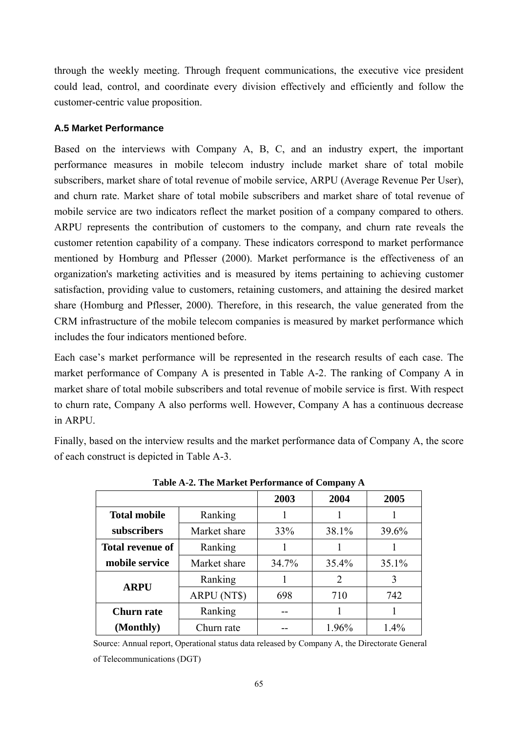through the weekly meeting. Through frequent communications, the executive vice president could lead, control, and coordinate every division effectively and efficiently and follow the customer-centric value proposition.

#### **A.5 Market Performance**

Based on the interviews with Company A, B, C, and an industry expert, the important performance measures in mobile telecom industry include market share of total mobile subscribers, market share of total revenue of mobile service, ARPU (Average Revenue Per User), and churn rate. Market share of total mobile subscribers and market share of total revenue of mobile service are two indicators reflect the market position of a company compared to others. ARPU represents the contribution of customers to the company, and churn rate reveals the customer retention capability of a company. These indicators correspond to market performance mentioned by Homburg and Pflesser (2000). Market performance is the effectiveness of an organization's marketing activities and is measured by items pertaining to achieving customer satisfaction, providing value to customers, retaining customers, and attaining the desired market share (Homburg and Pflesser, 2000). Therefore, in this research, the value generated from the CRM infrastructure of the mobile telecom companies is measured by market performance which includes the four indicators mentioned before.

Each case's market performance will be represented in the research results of each case. The market performance of Company A is presented in Table A-2. The ranking of Company A in market share of total mobile subscribers and total revenue of mobile service is first. With respect to churn rate, Company A also performs well. However, Company A has a continuous decrease in ARPU.

Finally, based on the interview results and the market performance data of Company A, the score of each construct is depicted in Table A-3.

|                         |              | 2003  | 2004  | 2005  |
|-------------------------|--------------|-------|-------|-------|
| <b>Total mobile</b>     | Ranking      |       |       |       |
| subscribers             | Market share | 33%   | 38.1% | 39.6% |
| <b>Total revenue of</b> | Ranking      |       |       |       |
| mobile service          | Market share | 34.7% | 35.4% | 35.1% |
| <b>ARPU</b>             | Ranking      |       | 2     | 3     |
|                         | ARPU (NT\$)  | 698   | 710   | 742   |
| <b>Churn rate</b>       | Ranking      |       |       |       |
| (Monthly)               | Churn rate   |       | 1.96% | 1.4%  |

**Table A-2. The Market Performance of Company A**

Source: Annual report, Operational status data released by Company A, the Directorate General of Telecommunications (DGT)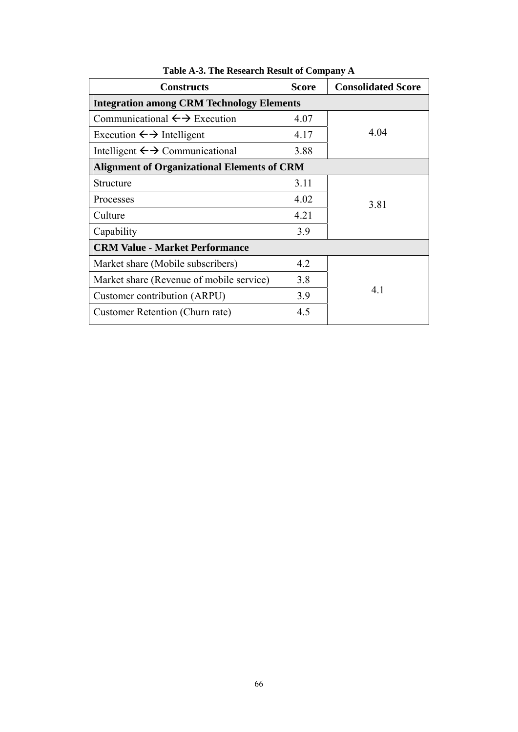| <b>Constructs</b>                                  | <b>Score</b> | <b>Consolidated Score</b> |
|----------------------------------------------------|--------------|---------------------------|
| <b>Integration among CRM Technology Elements</b>   |              |                           |
| Communicational $\leftrightarrow$ Execution        | 4.07         |                           |
| Execution $\leftrightarrow$ Intelligent            | 4.17         | 4.04                      |
| Intelligent $\leftrightarrow$ Communicational      | 3.88         |                           |
| <b>Alignment of Organizational Elements of CRM</b> |              |                           |
| Structure                                          | 3.11         |                           |
| Processes                                          | 4.02         | 3.81                      |
| Culture                                            | 4.21         |                           |
| Capability                                         | 3.9          |                           |
| <b>CRM Value - Market Performance</b>              |              |                           |
| Market share (Mobile subscribers)                  | 4.2          |                           |
| Market share (Revenue of mobile service)           | 3.8          |                           |
| Customer contribution (ARPU)                       | 3.9          | 4.1                       |
| Customer Retention (Churn rate)                    | 4.5          |                           |

**Table A-3. The Research Result of Company A**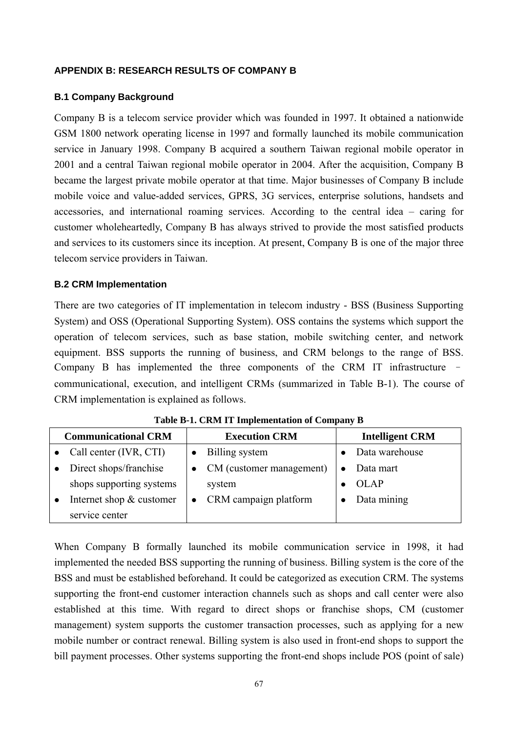#### **APPENDIX B: RESEARCH RESULTS OF COMPANY B**

#### **B.1 Company Background**

Company B is a telecom service provider which was founded in 1997. It obtained a nationwide GSM 1800 network operating license in 1997 and formally launched its mobile communication service in January 1998. Company B acquired a southern Taiwan regional mobile operator in 2001 and a central Taiwan regional mobile operator in 2004. After the acquisition, Company B became the largest private mobile operator at that time. Major businesses of Company B include mobile voice and value-added services, GPRS, 3G services, enterprise solutions, handsets and accessories, and international roaming services. According to the central idea – caring for customer wholeheartedly, Company B has always strived to provide the most satisfied products and services to its customers since its inception. At present, Company B is one of the major three telecom service providers in Taiwan.

#### **B.2 CRM Implementation**

There are two categories of IT implementation in telecom industry - BSS (Business Supporting System) and OSS (Operational Supporting System). OSS contains the systems which support the operation of telecom services, such as base station, mobile switching center, and network equipment. BSS supports the running of business, and CRM belongs to the range of BSS. Company B has implemented the three components of the CRM IT infrastructure – communicational, execution, and intelligent CRMs (summarized in Table B-1). The course of CRM implementation is explained as follows.

| <b>Communicational CRM</b> | <b>Execution CRM</b> |                          | <b>Intelligent CRM</b> |
|----------------------------|----------------------|--------------------------|------------------------|
| Call center (IVR, CTI)     |                      | Billing system           | Data warehouse         |
| Direct shops/franchise     |                      | CM (customer management) | Data mart              |
| shops supporting systems   |                      | system                   | OLAP                   |
| Internet shop & customer   |                      | CRM campaign platform    | Data mining            |
| service center             |                      |                          |                        |

**Table B-1. CRM IT Implementation of Company B** 

When Company B formally launched its mobile communication service in 1998, it had implemented the needed BSS supporting the running of business. Billing system is the core of the BSS and must be established beforehand. It could be categorized as execution CRM. The systems supporting the front-end customer interaction channels such as shops and call center were also established at this time. With regard to direct shops or franchise shops, CM (customer management) system supports the customer transaction processes, such as applying for a new mobile number or contract renewal. Billing system is also used in front-end shops to support the bill payment processes. Other systems supporting the front-end shops include POS (point of sale)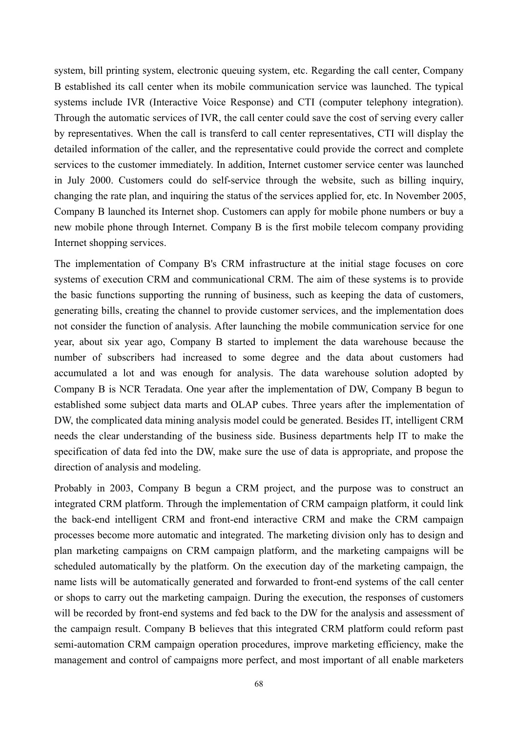system, bill printing system, electronic queuing system, etc. Regarding the call center, Company B established its call center when its mobile communication service was launched. The typical systems include IVR (Interactive Voice Response) and CTI (computer telephony integration). Through the automatic services of IVR, the call center could save the cost of serving every caller by representatives. When the call is transferd to call center representatives, CTI will display the detailed information of the caller, and the representative could provide the correct and complete services to the customer immediately. In addition, Internet customer service center was launched in July 2000. Customers could do self-service through the website, such as billing inquiry, changing the rate plan, and inquiring the status of the services applied for, etc. In November 2005, Company B launched its Internet shop. Customers can apply for mobile phone numbers or buy a new mobile phone through Internet. Company B is the first mobile telecom company providing Internet shopping services.

The implementation of Company B's CRM infrastructure at the initial stage focuses on core systems of execution CRM and communicational CRM. The aim of these systems is to provide the basic functions supporting the running of business, such as keeping the data of customers, generating bills, creating the channel to provide customer services, and the implementation does not consider the function of analysis. After launching the mobile communication service for one year, about six year ago, Company B started to implement the data warehouse because the number of subscribers had increased to some degree and the data about customers had accumulated a lot and was enough for analysis. The data warehouse solution adopted by Company B is NCR Teradata. One year after the implementation of DW, Company B begun to established some subject data marts and OLAP cubes. Three years after the implementation of DW, the complicated data mining analysis model could be generated. Besides IT, intelligent CRM needs the clear understanding of the business side. Business departments help IT to make the specification of data fed into the DW, make sure the use of data is appropriate, and propose the direction of analysis and modeling.

Probably in 2003, Company B begun a CRM project, and the purpose was to construct an integrated CRM platform. Through the implementation of CRM campaign platform, it could link the back-end intelligent CRM and front-end interactive CRM and make the CRM campaign processes become more automatic and integrated. The marketing division only has to design and plan marketing campaigns on CRM campaign platform, and the marketing campaigns will be scheduled automatically by the platform. On the execution day of the marketing campaign, the name lists will be automatically generated and forwarded to front-end systems of the call center or shops to carry out the marketing campaign. During the execution, the responses of customers will be recorded by front-end systems and fed back to the DW for the analysis and assessment of the campaign result. Company B believes that this integrated CRM platform could reform past semi-automation CRM campaign operation procedures, improve marketing efficiency, make the management and control of campaigns more perfect, and most important of all enable marketers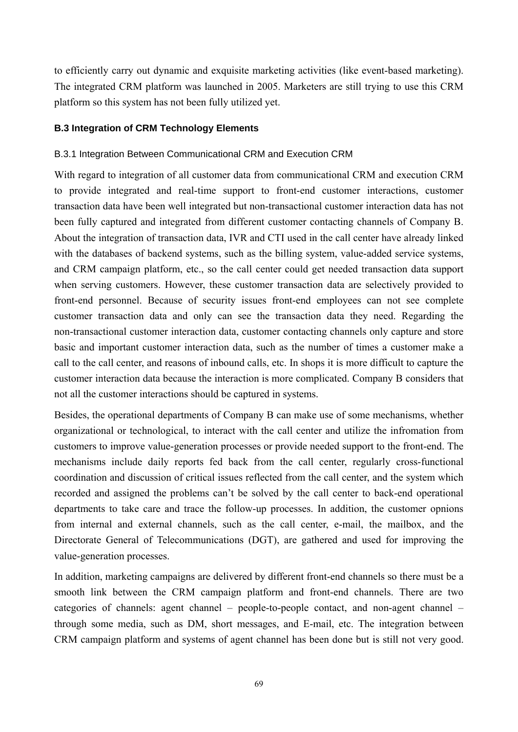to efficiently carry out dynamic and exquisite marketing activities (like event-based marketing). The integrated CRM platform was launched in 2005. Marketers are still trying to use this CRM platform so this system has not been fully utilized yet.

## **B.3 Integration of CRM Technology Elements**

## B.3.1 Integration Between Communicational CRM and Execution CRM

With regard to integration of all customer data from communicational CRM and execution CRM to provide integrated and real-time support to front-end customer interactions, customer transaction data have been well integrated but non-transactional customer interaction data has not been fully captured and integrated from different customer contacting channels of Company B. About the integration of transaction data, IVR and CTI used in the call center have already linked with the databases of backend systems, such as the billing system, value-added service systems, and CRM campaign platform, etc., so the call center could get needed transaction data support when serving customers. However, these customer transaction data are selectively provided to front-end personnel. Because of security issues front-end employees can not see complete customer transaction data and only can see the transaction data they need. Regarding the non-transactional customer interaction data, customer contacting channels only capture and store basic and important customer interaction data, such as the number of times a customer make a call to the call center, and reasons of inbound calls, etc. In shops it is more difficult to capture the customer interaction data because the interaction is more complicated. Company B considers that not all the customer interactions should be captured in systems.

Besides, the operational departments of Company B can make use of some mechanisms, whether organizational or technological, to interact with the call center and utilize the infromation from customers to improve value-generation processes or provide needed support to the front-end. The mechanisms include daily reports fed back from the call center, regularly cross-functional coordination and discussion of critical issues reflected from the call center, and the system which recorded and assigned the problems can't be solved by the call center to back-end operational departments to take care and trace the follow-up processes. In addition, the customer opnions from internal and external channels, such as the call center, e-mail, the mailbox, and the Directorate General of Telecommunications (DGT), are gathered and used for improving the value-generation processes.

In addition, marketing campaigns are delivered by different front-end channels so there must be a smooth link between the CRM campaign platform and front-end channels. There are two categories of channels: agent channel – people-to-people contact, and non-agent channel – through some media, such as DM, short messages, and E-mail, etc. The integration between CRM campaign platform and systems of agent channel has been done but is still not very good.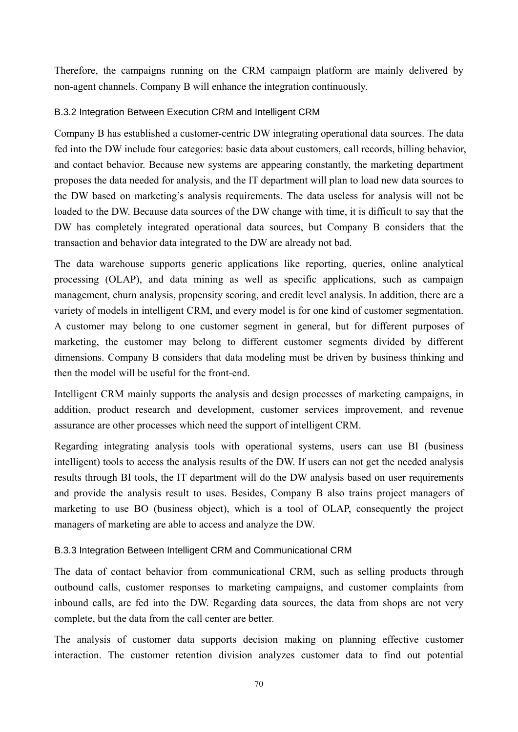Therefore, the campaigns running on the CRM campaign platform are mainly delivered by non-agent channels. Company B will enhance the integration continuously.

# B.3.2 Integration Between Execution CRM and Intelligent CRM

Company B has established a customer-centric DW integrating operational data sources. The data fed into the DW include four categories: basic data about customers, call records, billing behavior, and contact behavior. Because new systems are appearing constantly, the marketing department proposes the data needed for analysis, and the IT department will plan to load new data sources to the DW based on marketing's analysis requirements. The data useless for analysis will not be loaded to the DW. Because data sources of the DW change with time, it is difficult to say that the DW has completely integrated operational data sources, but Company B considers that the transaction and behavior data integrated to the DW are already not bad.

The data warehouse supports generic applications like reporting, queries, online analytical processing (OLAP), and data mining as well as specific applications, such as campaign management, churn analysis, propensity scoring, and credit level analysis. In addition, there are a variety of models in intelligent CRM, and every model is for one kind of customer segmentation. A customer may belong to one customer segment in general, but for different purposes of marketing, the customer may belong to different customer segments divided by different dimensions. Company B considers that data modeling must be driven by business thinking and then the model will be useful for the front-end.

Intelligent CRM mainly supports the analysis and design processes of marketing campaigns, in addition, product research and development, customer services improvement, and revenue assurance are other processes which need the support of intelligent CRM.

Regarding integrating analysis tools with operational systems, users can use BI (business intelligent) tools to access the analysis results of the DW. If users can not get the needed analysis results through BI tools, the IT department will do the DW analysis based on user requirements and provide the analysis result to uses. Besides, Company B also trains project managers of marketing to use BO (business object), which is a tool of OLAP, consequently the project managers of marketing are able to access and analyze the DW.

# B.3.3 Integration Between Intelligent CRM and Communicational CRM

The data of contact behavior from communicational CRM, such as selling products through outbound calls, customer responses to marketing campaigns, and customer complaints from inbound calls, are fed into the DW. Regarding data sources, the data from shops are not very complete, but the data from the call center are better.

The analysis of customer data supports decision making on planning effective customer interaction. The customer retention division analyzes customer data to find out potential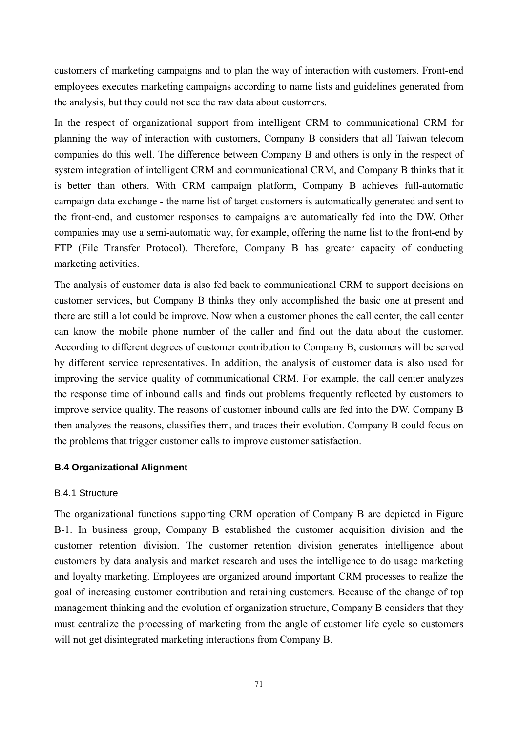customers of marketing campaigns and to plan the way of interaction with customers. Front-end employees executes marketing campaigns according to name lists and guidelines generated from the analysis, but they could not see the raw data about customers.

In the respect of organizational support from intelligent CRM to communicational CRM for planning the way of interaction with customers, Company B considers that all Taiwan telecom companies do this well. The difference between Company B and others is only in the respect of system integration of intelligent CRM and communicational CRM, and Company B thinks that it is better than others. With CRM campaign platform, Company B achieves full-automatic campaign data exchange - the name list of target customers is automatically generated and sent to the front-end, and customer responses to campaigns are automatically fed into the DW. Other companies may use a semi-automatic way, for example, offering the name list to the front-end by FTP (File Transfer Protocol). Therefore, Company B has greater capacity of conducting marketing activities.

The analysis of customer data is also fed back to communicational CRM to support decisions on customer services, but Company B thinks they only accomplished the basic one at present and there are still a lot could be improve. Now when a customer phones the call center, the call center can know the mobile phone number of the caller and find out the data about the customer. According to different degrees of customer contribution to Company B, customers will be served by different service representatives. In addition, the analysis of customer data is also used for improving the service quality of communicational CRM. For example, the call center analyzes the response time of inbound calls and finds out problems frequently reflected by customers to improve service quality. The reasons of customer inbound calls are fed into the DW. Company B then analyzes the reasons, classifies them, and traces their evolution. Company B could focus on the problems that trigger customer calls to improve customer satisfaction.

# **B.4 Organizational Alignment**

# B.4.1 Structure

The organizational functions supporting CRM operation of Company B are depicted in Figure B-1. In business group, Company B established the customer acquisition division and the customer retention division. The customer retention division generates intelligence about customers by data analysis and market research and uses the intelligence to do usage marketing and loyalty marketing. Employees are organized around important CRM processes to realize the goal of increasing customer contribution and retaining customers. Because of the change of top management thinking and the evolution of organization structure, Company B considers that they must centralize the processing of marketing from the angle of customer life cycle so customers will not get disintegrated marketing interactions from Company B.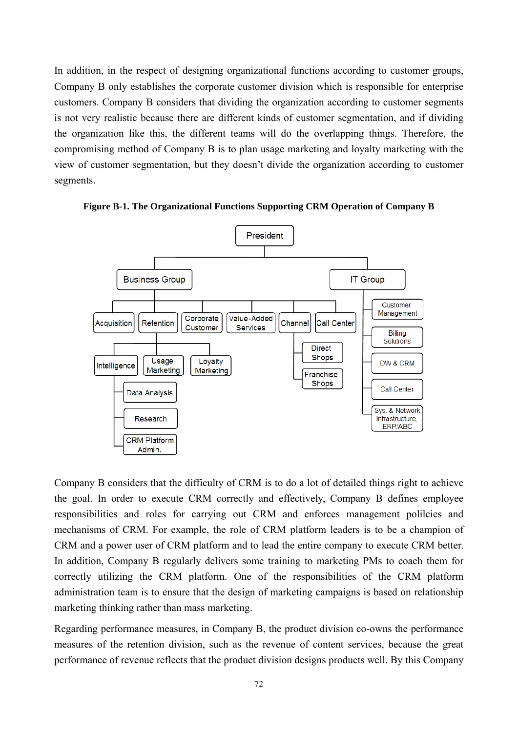In addition, in the respect of designing organizational functions according to customer groups, Company B only establishes the corporate customer division which is responsible for enterprise customers. Company B considers that dividing the organization according to customer segments is not very realistic because there are different kinds of customer segmentation, and if dividing the organization like this, the different teams will do the overlapping things. Therefore, the compromising method of Company B is to plan usage marketing and loyalty marketing with the view of customer segmentation, but they doesn't divide the organization according to customer segments.



**Figure B-1. The Organizational Functions Supporting CRM Operation of Company B** 

Company B considers that the difficulty of CRM is to do a lot of detailed things right to achieve the goal. In order to execute CRM correctly and effectively, Company B defines employee responsibilities and roles for carrying out CRM and enforces management polilcies and mechanisms of CRM. For example, the role of CRM platform leaders is to be a champion of CRM and a power user of CRM platform and to lead the entire company to execute CRM better. In addition, Company B regularly delivers some training to marketing PMs to coach them for correctly utilizing the CRM platform. One of the responsibilities of the CRM platform administration team is to ensure that the design of marketing campaigns is based on relationship marketing thinking rather than mass marketing.

Regarding performance measures, in Company B, the product division co-owns the performance measures of the retention division, such as the revenue of content services, because the great performance of revenue reflects that the product division designs products well. By this Company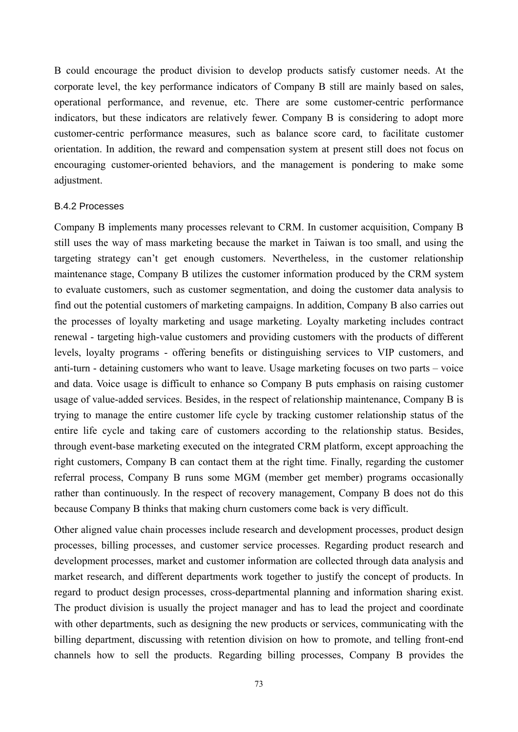B could encourage the product division to develop products satisfy customer needs. At the corporate level, the key performance indicators of Company B still are mainly based on sales, operational performance, and revenue, etc. There are some customer-centric performance indicators, but these indicators are relatively fewer. Company B is considering to adopt more customer-centric performance measures, such as balance score card, to facilitate customer orientation. In addition, the reward and compensation system at present still does not focus on encouraging customer-oriented behaviors, and the management is pondering to make some adjustment.

#### B.4.2 Processes

Company B implements many processes relevant to CRM. In customer acquisition, Company B still uses the way of mass marketing because the market in Taiwan is too small, and using the targeting strategy can't get enough customers. Nevertheless, in the customer relationship maintenance stage, Company B utilizes the customer information produced by the CRM system to evaluate customers, such as customer segmentation, and doing the customer data analysis to find out the potential customers of marketing campaigns. In addition, Company B also carries out the processes of loyalty marketing and usage marketing. Loyalty marketing includes contract renewal - targeting high-value customers and providing customers with the products of different levels, loyalty programs - offering benefits or distinguishing services to VIP customers, and anti-turn - detaining customers who want to leave. Usage marketing focuses on two parts – voice and data. Voice usage is difficult to enhance so Company B puts emphasis on raising customer usage of value-added services. Besides, in the respect of relationship maintenance, Company B is trying to manage the entire customer life cycle by tracking customer relationship status of the entire life cycle and taking care of customers according to the relationship status. Besides, through event-base marketing executed on the integrated CRM platform, except approaching the right customers, Company B can contact them at the right time. Finally, regarding the customer referral process, Company B runs some MGM (member get member) programs occasionally rather than continuously. In the respect of recovery management, Company B does not do this because Company B thinks that making churn customers come back is very difficult.

Other aligned value chain processes include research and development processes, product design processes, billing processes, and customer service processes. Regarding product research and development processes, market and customer information are collected through data analysis and market research, and different departments work together to justify the concept of products. In regard to product design processes, cross-departmental planning and information sharing exist. The product division is usually the project manager and has to lead the project and coordinate with other departments, such as designing the new products or services, communicating with the billing department, discussing with retention division on how to promote, and telling front-end channels how to sell the products. Regarding billing processes, Company B provides the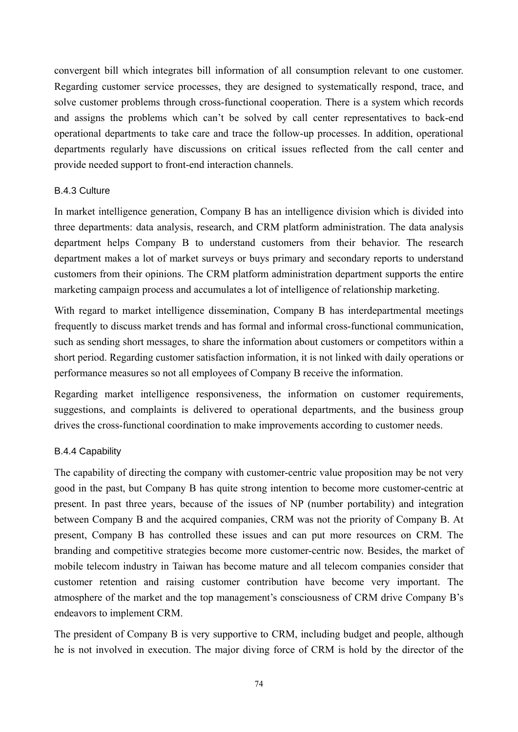convergent bill which integrates bill information of all consumption relevant to one customer. Regarding customer service processes, they are designed to systematically respond, trace, and solve customer problems through cross-functional cooperation. There is a system which records and assigns the problems which can't be solved by call center representatives to back-end operational departments to take care and trace the follow-up processes. In addition, operational departments regularly have discussions on critical issues reflected from the call center and provide needed support to front-end interaction channels.

## B.4.3 Culture

In market intelligence generation, Company B has an intelligence division which is divided into three departments: data analysis, research, and CRM platform administration. The data analysis department helps Company B to understand customers from their behavior. The research department makes a lot of market surveys or buys primary and secondary reports to understand customers from their opinions. The CRM platform administration department supports the entire marketing campaign process and accumulates a lot of intelligence of relationship marketing.

With regard to market intelligence dissemination, Company B has interdepartmental meetings frequently to discuss market trends and has formal and informal cross-functional communication, such as sending short messages, to share the information about customers or competitors within a short period. Regarding customer satisfaction information, it is not linked with daily operations or performance measures so not all employees of Company B receive the information.

Regarding market intelligence responsiveness, the information on customer requirements, suggestions, and complaints is delivered to operational departments, and the business group drives the cross-functional coordination to make improvements according to customer needs.

# B.4.4 Capability

The capability of directing the company with customer-centric value proposition may be not very good in the past, but Company B has quite strong intention to become more customer-centric at present. In past three years, because of the issues of NP (number portability) and integration between Company B and the acquired companies, CRM was not the priority of Company B. At present, Company B has controlled these issues and can put more resources on CRM. The branding and competitive strategies become more customer-centric now. Besides, the market of mobile telecom industry in Taiwan has become mature and all telecom companies consider that customer retention and raising customer contribution have become very important. The atmosphere of the market and the top management's consciousness of CRM drive Company B's endeavors to implement CRM.

The president of Company B is very supportive to CRM, including budget and people, although he is not involved in execution. The major diving force of CRM is hold by the director of the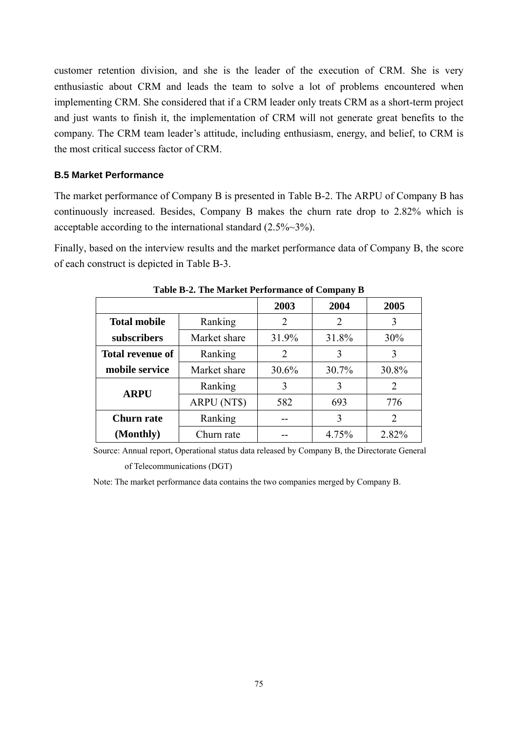customer retention division, and she is the leader of the execution of CRM. She is very enthusiastic about CRM and leads the team to solve a lot of problems encountered when implementing CRM. She considered that if a CRM leader only treats CRM as a short-term project and just wants to finish it, the implementation of CRM will not generate great benefits to the company. The CRM team leader's attitude, including enthusiasm, energy, and belief, to CRM is the most critical success factor of CRM.

#### **B.5 Market Performance**

The market performance of Company B is presented in Table B-2. The ARPU of Company B has continuously increased. Besides, Company B makes the churn rate drop to 2.82% which is acceptable according to the international standard (2.5%~3%).

Finally, based on the interview results and the market performance data of Company B, the score of each construct is depicted in Table B-3.

|                         |              | 2003                        | 2004           | 2005           |
|-------------------------|--------------|-----------------------------|----------------|----------------|
| <b>Total mobile</b>     | Ranking      | 2                           | $\overline{2}$ | 3              |
| subscribers             | Market share | 31.9%                       | 31.8%          | 30%            |
| <b>Total revenue of</b> | Ranking      | $\mathcal{D}_{\mathcal{L}}$ | 3              | 3              |
| mobile service          | Market share | 30.6%                       | 30.7%          | 30.8%          |
| <b>ARPU</b>             | Ranking      | 3                           | 3              | 2              |
|                         | ARPU (NT\$)  | 582                         | 693            | 776            |
| Churn rate              | Ranking      |                             | 3              | $\overline{2}$ |
| (Monthly)               | Churn rate   |                             | 4.75%          | 2.82%          |

**Table B-2. The Market Performance of Company B** 

Source: Annual report, Operational status data released by Company B, the Directorate General

of Telecommunications (DGT)

Note: The market performance data contains the two companies merged by Company B.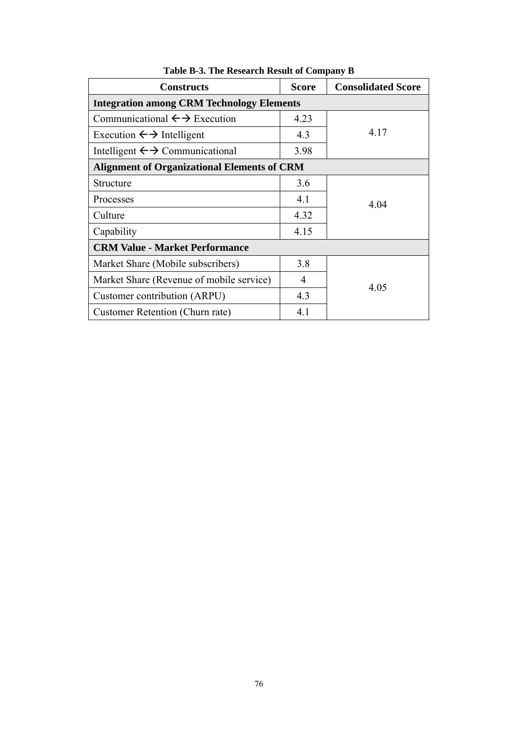| <b>Constructs</b>                                  | <b>Score</b> | <b>Consolidated Score</b> |
|----------------------------------------------------|--------------|---------------------------|
| <b>Integration among CRM Technology Elements</b>   |              |                           |
| Communicational $\leftrightarrow$ Execution        | 4.23         |                           |
| Execution $\leftarrow \rightarrow$ Intelligent     | 4.3          | 4.17                      |
| Intelligent $\leftrightarrow$ Communicational      | 3.98         |                           |
| <b>Alignment of Organizational Elements of CRM</b> |              |                           |
| Structure                                          | 3.6          |                           |
| Processes                                          | 4.1          | 4.04                      |
| Culture                                            | 4.32         |                           |
| Capability                                         | 4.15         |                           |
| <b>CRM Value - Market Performance</b>              |              |                           |
| Market Share (Mobile subscribers)                  | 3.8          |                           |
| Market Share (Revenue of mobile service)           | 4            | 4.05                      |
| Customer contribution (ARPU)                       | 4.3          |                           |
| Customer Retention (Churn rate)                    | 4.1          |                           |

**Table B-3. The Research Result of Company B**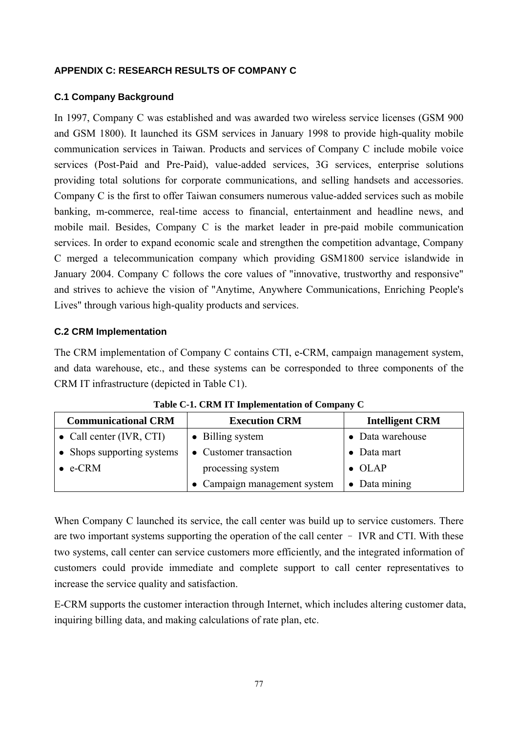## **APPENDIX C: RESEARCH RESULTS OF COMPANY C**

## **C.1 Company Background**

In 1997, Company C was established and was awarded two wireless service licenses (GSM 900 and GSM 1800). It launched its GSM services in January 1998 to provide high-quality mobile communication services in Taiwan. Products and services of Company C include mobile voice services (Post-Paid and Pre-Paid), value-added services, 3G services, enterprise solutions providing total solutions for corporate communications, and selling handsets and accessories. Company C is the first to offer Taiwan consumers numerous value-added services such as mobile banking, m-commerce, real-time access to financial, entertainment and headline news, and mobile mail. Besides, Company C is the market leader in pre-paid mobile communication services. In order to expand economic scale and strengthen the competition advantage, Company C merged a telecommunication company which providing GSM1800 service islandwide in January 2004. Company C follows the core values of "innovative, trustworthy and responsive" and strives to achieve the vision of "Anytime, Anywhere Communications, Enriching People's Lives" through various high-quality products and services.

## **C.2 CRM Implementation**

The CRM implementation of Company C contains CTI, e-CRM, campaign management system, and data warehouse, etc., and these systems can be corresponded to three components of the CRM IT infrastructure (depicted in Table C1).

| <b>Communicational CRM</b> | <b>Execution CRM</b>       | <b>Intelligent CRM</b> |
|----------------------------|----------------------------|------------------------|
| • Call center $(IVR, CTI)$ | • Billing system           | • Data warehouse       |
| • Shops supporting systems | • Customer transaction     | $\bullet$ Data mart    |
| $\bullet$ e-CRM            | processing system          | $\bullet$ OLAP         |
|                            | Campaign management system | $\bullet$ Data mining  |

**Table C-1. CRM IT Implementation of Company C** 

When Company C launched its service, the call center was build up to service customers. There are two important systems supporting the operation of the call center – IVR and CTI. With these two systems, call center can service customers more efficiently, and the integrated information of customers could provide immediate and complete support to call center representatives to increase the service quality and satisfaction.

E-CRM supports the customer interaction through Internet, which includes altering customer data, inquiring billing data, and making calculations of rate plan, etc.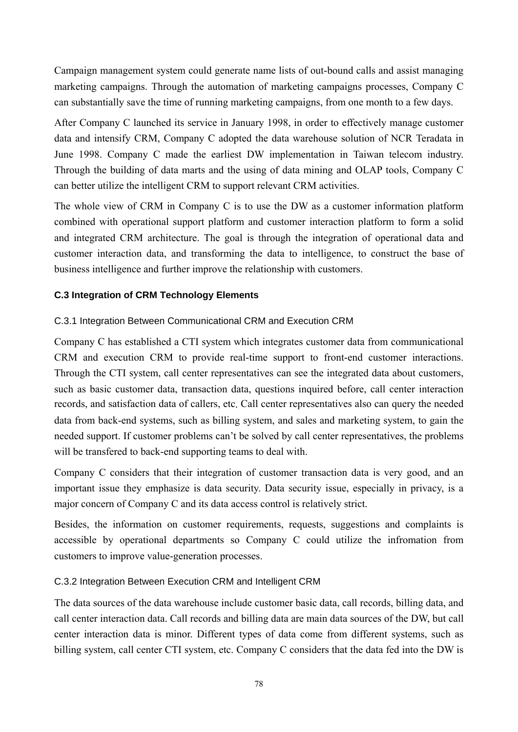Campaign management system could generate name lists of out-bound calls and assist managing marketing campaigns. Through the automation of marketing campaigns processes, Company C can substantially save the time of running marketing campaigns, from one month to a few days.

After Company C launched its service in January 1998, in order to effectively manage customer data and intensify CRM, Company C adopted the data warehouse solution of NCR Teradata in June 1998. Company C made the earliest DW implementation in Taiwan telecom industry. Through the building of data marts and the using of data mining and OLAP tools, Company C can better utilize the intelligent CRM to support relevant CRM activities.

The whole view of CRM in Company C is to use the DW as a customer information platform combined with operational support platform and customer interaction platform to form a solid and integrated CRM architecture. The goal is through the integration of operational data and customer interaction data, and transforming the data to intelligence, to construct the base of business intelligence and further improve the relationship with customers.

# **C.3 Integration of CRM Technology Elements**

## C.3.1 Integration Between Communicational CRM and Execution CRM

Company C has established a CTI system which integrates customer data from communicational CRM and execution CRM to provide real-time support to front-end customer interactions. Through the CTI system, call center representatives can see the integrated data about customers, such as basic customer data, transaction data, questions inquired before, call center interaction records, and satisfaction data of callers, etc. Call center representatives also can query the needed data from back-end systems, such as billing system, and sales and marketing system, to gain the needed support. If customer problems can't be solved by call center representatives, the problems will be transfered to back-end supporting teams to deal with.

Company C considers that their integration of customer transaction data is very good, and an important issue they emphasize is data security. Data security issue, especially in privacy, is a major concern of Company C and its data access control is relatively strict.

Besides, the information on customer requirements, requests, suggestions and complaints is accessible by operational departments so Company C could utilize the infromation from customers to improve value-generation processes.

#### C.3.2 Integration Between Execution CRM and Intelligent CRM

The data sources of the data warehouse include customer basic data, call records, billing data, and call center interaction data. Call records and billing data are main data sources of the DW, but call center interaction data is minor. Different types of data come from different systems, such as billing system, call center CTI system, etc. Company C considers that the data fed into the DW is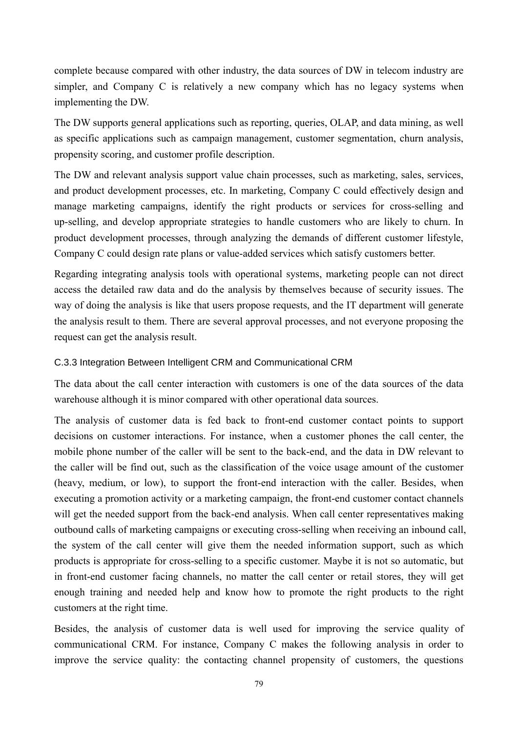complete because compared with other industry, the data sources of DW in telecom industry are simpler, and Company C is relatively a new company which has no legacy systems when implementing the DW.

The DW supports general applications such as reporting, queries, OLAP, and data mining, as well as specific applications such as campaign management, customer segmentation, churn analysis, propensity scoring, and customer profile description.

The DW and relevant analysis support value chain processes, such as marketing, sales, services, and product development processes, etc. In marketing, Company C could effectively design and manage marketing campaigns, identify the right products or services for cross-selling and up-selling, and develop appropriate strategies to handle customers who are likely to churn. In product development processes, through analyzing the demands of different customer lifestyle, Company C could design rate plans or value-added services which satisfy customers better.

Regarding integrating analysis tools with operational systems, marketing people can not direct access the detailed raw data and do the analysis by themselves because of security issues. The way of doing the analysis is like that users propose requests, and the IT department will generate the analysis result to them. There are several approval processes, and not everyone proposing the request can get the analysis result.

# C.3.3 Integration Between Intelligent CRM and Communicational CRM

The data about the call center interaction with customers is one of the data sources of the data warehouse although it is minor compared with other operational data sources.

The analysis of customer data is fed back to front-end customer contact points to support decisions on customer interactions. For instance, when a customer phones the call center, the mobile phone number of the caller will be sent to the back-end, and the data in DW relevant to the caller will be find out, such as the classification of the voice usage amount of the customer (heavy, medium, or low), to support the front-end interaction with the caller. Besides, when executing a promotion activity or a marketing campaign, the front-end customer contact channels will get the needed support from the back-end analysis. When call center representatives making outbound calls of marketing campaigns or executing cross-selling when receiving an inbound call, the system of the call center will give them the needed information support, such as which products is appropriate for cross-selling to a specific customer. Maybe it is not so automatic, but in front-end customer facing channels, no matter the call center or retail stores, they will get enough training and needed help and know how to promote the right products to the right customers at the right time.

Besides, the analysis of customer data is well used for improving the service quality of communicational CRM. For instance, Company C makes the following analysis in order to improve the service quality: the contacting channel propensity of customers, the questions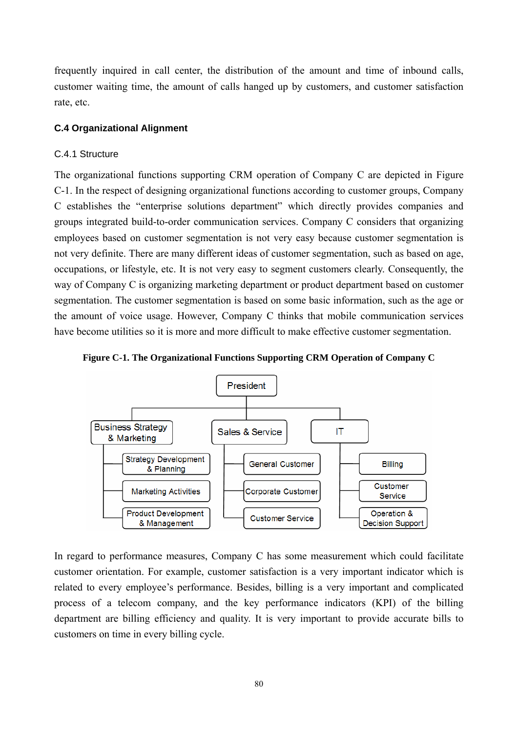frequently inquired in call center, the distribution of the amount and time of inbound calls, customer waiting time, the amount of calls hanged up by customers, and customer satisfaction rate, etc.

## **C.4 Organizational Alignment**

## C.4.1 Structure

The organizational functions supporting CRM operation of Company C are depicted in Figure C-1. In the respect of designing organizational functions according to customer groups, Company C establishes the "enterprise solutions department" which directly provides companies and groups integrated build-to-order communication services. Company C considers that organizing employees based on customer segmentation is not very easy because customer segmentation is not very definite. There are many different ideas of customer segmentation, such as based on age, occupations, or lifestyle, etc. It is not very easy to segment customers clearly. Consequently, the way of Company C is organizing marketing department or product department based on customer segmentation. The customer segmentation is based on some basic information, such as the age or the amount of voice usage. However, Company C thinks that mobile communication services have become utilities so it is more and more difficult to make effective customer segmentation.





In regard to performance measures, Company C has some measurement which could facilitate customer orientation. For example, customer satisfaction is a very important indicator which is related to every employee's performance. Besides, billing is a very important and complicated process of a telecom company, and the key performance indicators (KPI) of the billing department are billing efficiency and quality. It is very important to provide accurate bills to customers on time in every billing cycle.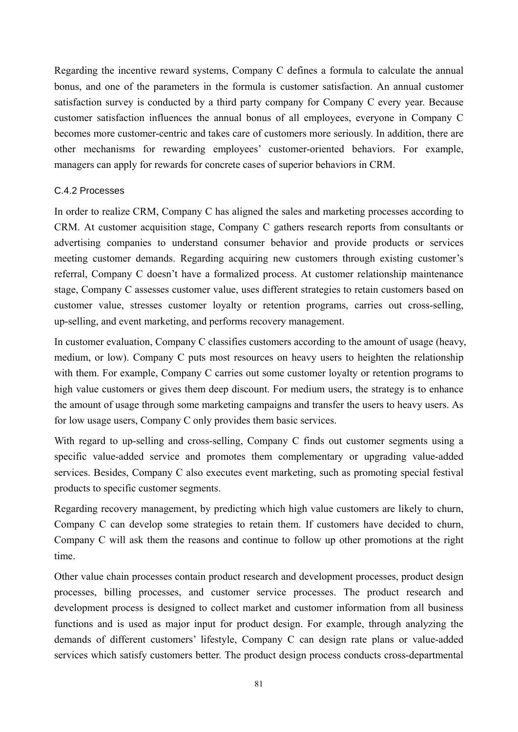Regarding the incentive reward systems, Company C defines a formula to calculate the annual bonus, and one of the parameters in the formula is customer satisfaction. An annual customer satisfaction survey is conducted by a third party company for Company C every year. Because customer satisfaction influences the annual bonus of all employees, everyone in Company C becomes more customer-centric and takes care of customers more seriously. In addition, there are other mechanisms for rewarding employees' customer-oriented behaviors. For example, managers can apply for rewards for concrete cases of superior behaviors in CRM.

#### C.4.2 Processes

In order to realize CRM, Company C has aligned the sales and marketing processes according to CRM. At customer acquisition stage, Company C gathers research reports from consultants or advertising companies to understand consumer behavior and provide products or services meeting customer demands. Regarding acquiring new customers through existing customer's referral, Company C doesn't have a formalized process. At customer relationship maintenance stage, Company C assesses customer value, uses different strategies to retain customers based on customer value, stresses customer loyalty or retention programs, carries out cross-selling, up-selling, and event marketing, and performs recovery management.

In customer evaluation, Company C classifies customers according to the amount of usage (heavy, medium, or low). Company C puts most resources on heavy users to heighten the relationship with them. For example, Company C carries out some customer loyalty or retention programs to high value customers or gives them deep discount. For medium users, the strategy is to enhance the amount of usage through some marketing campaigns and transfer the users to heavy users. As for low usage users, Company C only provides them basic services.

With regard to up-selling and cross-selling, Company C finds out customer segments using a specific value-added service and promotes them complementary or upgrading value-added services. Besides, Company C also executes event marketing, such as promoting special festival products to specific customer segments.

Regarding recovery management, by predicting which high value customers are likely to churn, Company C can develop some strategies to retain them. If customers have decided to churn, Company C will ask them the reasons and continue to follow up other promotions at the right time.

Other value chain processes contain product research and development processes, product design processes, billing processes, and customer service processes. The product research and development process is designed to collect market and customer information from all business functions and is used as major input for product design. For example, through analyzing the demands of different customers' lifestyle, Company C can design rate plans or value-added services which satisfy customers better. The product design process conducts cross-departmental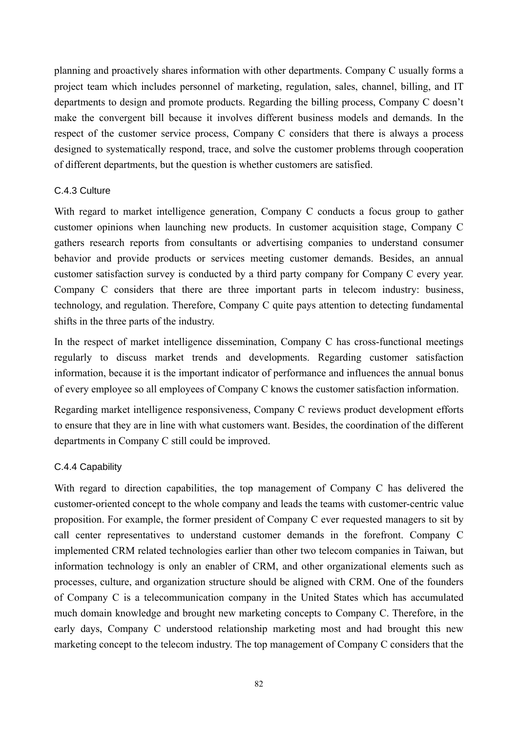planning and proactively shares information with other departments. Company C usually forms a project team which includes personnel of marketing, regulation, sales, channel, billing, and IT departments to design and promote products. Regarding the billing process, Company C doesn't make the convergent bill because it involves different business models and demands. In the respect of the customer service process, Company C considers that there is always a process designed to systematically respond, trace, and solve the customer problems through cooperation of different departments, but the question is whether customers are satisfied.

## C.4.3 Culture

With regard to market intelligence generation, Company C conducts a focus group to gather customer opinions when launching new products. In customer acquisition stage, Company C gathers research reports from consultants or advertising companies to understand consumer behavior and provide products or services meeting customer demands. Besides, an annual customer satisfaction survey is conducted by a third party company for Company C every year. Company C considers that there are three important parts in telecom industry: business, technology, and regulation. Therefore, Company C quite pays attention to detecting fundamental shifts in the three parts of the industry.

In the respect of market intelligence dissemination, Company C has cross-functional meetings regularly to discuss market trends and developments. Regarding customer satisfaction information, because it is the important indicator of performance and influences the annual bonus of every employee so all employees of Company C knows the customer satisfaction information.

Regarding market intelligence responsiveness, Company C reviews product development efforts to ensure that they are in line with what customers want. Besides, the coordination of the different departments in Company C still could be improved.

# C.4.4 Capability

With regard to direction capabilities, the top management of Company C has delivered the customer-oriented concept to the whole company and leads the teams with customer-centric value proposition. For example, the former president of Company C ever requested managers to sit by call center representatives to understand customer demands in the forefront. Company C implemented CRM related technologies earlier than other two telecom companies in Taiwan, but information technology is only an enabler of CRM, and other organizational elements such as processes, culture, and organization structure should be aligned with CRM. One of the founders of Company C is a telecommunication company in the United States which has accumulated much domain knowledge and brought new marketing concepts to Company C. Therefore, in the early days, Company C understood relationship marketing most and had brought this new marketing concept to the telecom industry. The top management of Company C considers that the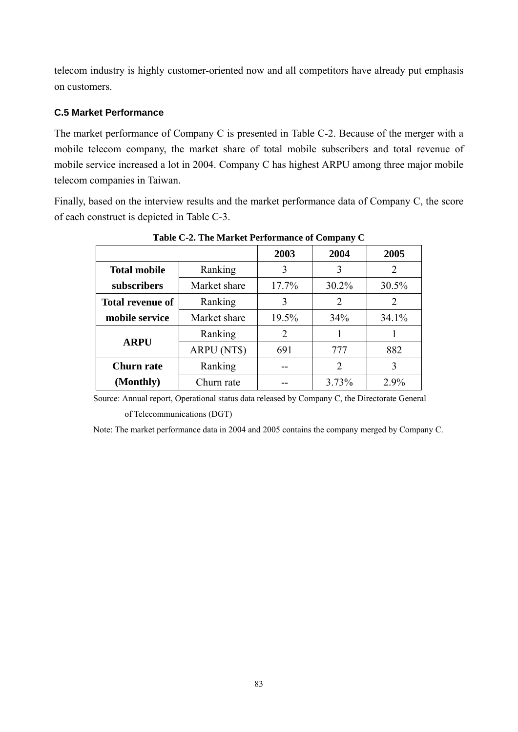telecom industry is highly customer-oriented now and all competitors have already put emphasis on customers.

# **C.5 Market Performance**

The market performance of Company C is presented in Table C-2. Because of the merger with a mobile telecom company, the market share of total mobile subscribers and total revenue of mobile service increased a lot in 2004. Company C has highest ARPU among three major mobile telecom companies in Taiwan.

Finally, based on the interview results and the market performance data of Company C, the score of each construct is depicted in Table C-3.

|                         |              | 2003  | 2004  | 2005  |
|-------------------------|--------------|-------|-------|-------|
| <b>Total mobile</b>     | Ranking      | 3     | 3     | 2     |
| subscribers             | Market share | 17.7% | 30.2% | 30.5% |
| <b>Total revenue of</b> | Ranking      | 3     | 2     | 2     |
| mobile service          | Market share | 19.5% | 34%   | 34.1% |
| <b>ARPU</b>             | Ranking      | 2     |       |       |
|                         | ARPU (NT\$)  | 691   | 777   | 882   |
| <b>Churn rate</b>       | Ranking      |       | 2     | 3     |
| (Monthly)               | Churn rate   |       | 3.73% | 2.9%  |

**Table C-2. The Market Performance of Company C** 

Source: Annual report, Operational status data released by Company C, the Directorate General

of Telecommunications (DGT)

Note: The market performance data in 2004 and 2005 contains the company merged by Company C.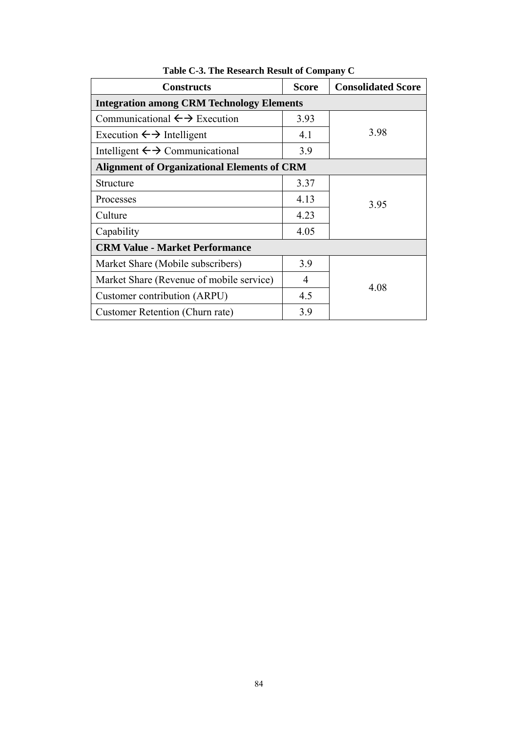| <b>Constructs</b>                                  | <b>Score</b> | <b>Consolidated Score</b> |
|----------------------------------------------------|--------------|---------------------------|
| <b>Integration among CRM Technology Elements</b>   |              |                           |
| Communicational $\leftrightarrow$ Execution        | 3.93         |                           |
| Execution $\leftarrow \rightarrow$ Intelligent     | 4.1          | 3.98                      |
| Intelligent $\leftrightarrow$ Communicational      | 3.9          |                           |
| <b>Alignment of Organizational Elements of CRM</b> |              |                           |
| Structure                                          | 3.37         |                           |
| Processes                                          | 4.13         | 3.95                      |
| Culture                                            | 4.23         |                           |
| Capability                                         | 4.05         |                           |
| <b>CRM Value - Market Performance</b>              |              |                           |
| Market Share (Mobile subscribers)                  | 3.9          |                           |
| Market Share (Revenue of mobile service)           | 4            | 4.08                      |
| Customer contribution (ARPU)                       | 4.5          |                           |
| Customer Retention (Churn rate)                    | 3.9          |                           |

**Table C-3. The Research Result of Company C**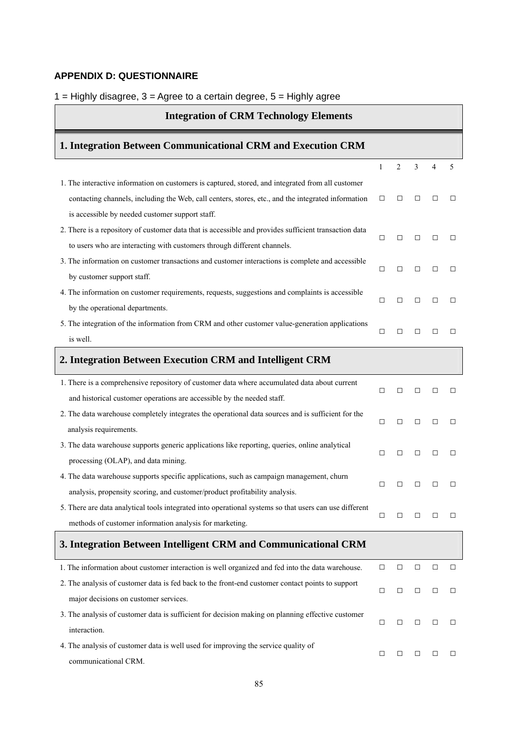#### **APPENDIX D: QUESTIONNAIRE**

#### $1 =$  Highly disagree,  $3 =$  Agree to a certain degree,  $5 =$  Highly agree

# **Integration of CRM Technology Elements 1. Integration Between Communicational CRM and Execution CRM**  1 2 3 4 5 1. The interactive information on customers is captured, stored, and integrated from all customer contacting channels, including the Web, call centers, stores, etc., and the integrated information is accessible by needed customer support staff. □ □ □ □ □ 2. There is a repository of customer data that is accessible and provides sufficient transaction data to users who are interacting with customers through different channels. □ □ □ □ □ 3. The information on customer transactions and customer interactions is complete and accessible by customer support staff. □ □ □ □ □ 4. The information on customer requirements, requests, suggestions and complaints is accessible by the operational departments. □ □ □ □ □ 5. The integration of the information from CRM and other customer value-generation applications is well. □ □ □ □ □ **2. Integration Between Execution CRM and Intelligent CRM** 1. There is a comprehensive repository of customer data where accumulated data about current and historical customer operations are accessible by the needed staff. □ □ □ □ □ 2. The data warehouse completely integrates the operational data sources and is sufficient for the analysis requirements. □ □ □ □ □ 3. The data warehouse supports generic applications like reporting, queries, online analytical processing (OLAP), and data mining. □ □ □ □ □ 4. The data warehouse supports specific applications, such as campaign management, churn analysis, propensity scoring, and customer/product profitability analysis. □ □ □ □ □ 5. There are data analytical tools integrated into operational systems so that users can use different methods of customer information analysis for marketing. □ □ □ □ □ **3. Integration Between Intelligent CRM and Communicational CRM** 1. The information about customer interaction is well organized and fed into the data warehouse.  $\Box$   $\Box$   $\Box$   $\Box$ 2. The analysis of customer data is fed back to the front-end customer contact points to support major decisions on customer services. □ □ □ □ □ 3. The analysis of customer data is sufficient for decision making on planning effective customer interaction. □ □ □ □ □ 4. The analysis of customer data is well used for improving the service quality of communicational CRM. □ □ □ □ □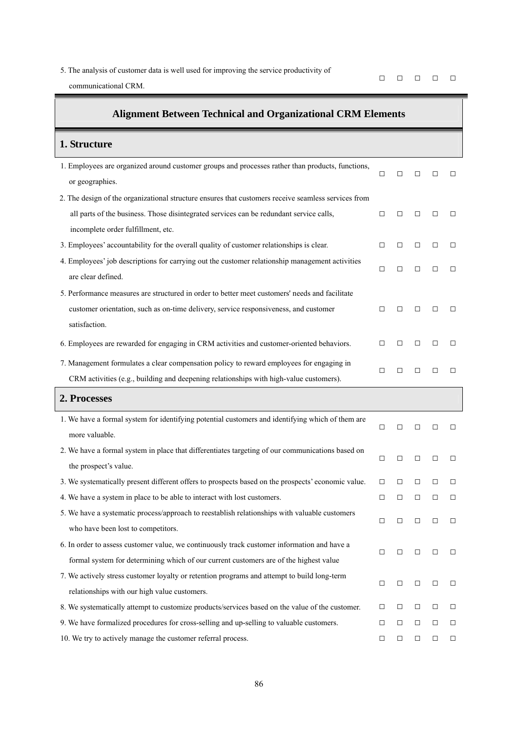5. The analysis of customer data is well used for improving the service productivity of

communicational CRM.

□ □ □ □ □

| <b>Alignment Between Technical and Organizational CRM Elements</b>                                                  |        |        |        |        |        |
|---------------------------------------------------------------------------------------------------------------------|--------|--------|--------|--------|--------|
| 1. Structure                                                                                                        |        |        |        |        |        |
| 1. Employees are organized around customer groups and processes rather than products, functions,<br>or geographies. | $\Box$ | □      | П      | П      | П      |
| 2. The design of the organizational structure ensures that customers receive seamless services from                 |        |        |        |        |        |
| all parts of the business. Those disintegrated services can be redundant service calls,                             | □      | □      | □      | П      | $\Box$ |
| incomplete order fulfillment, etc.                                                                                  |        |        |        |        |        |
| 3. Employees' accountability for the overall quality of customer relationships is clear.                            | □      | □      | □      | □      | $\Box$ |
| 4. Employees' job descriptions for carrying out the customer relationship management activities                     | □      | $\Box$ | □      | □      | □      |
| are clear defined.                                                                                                  |        |        |        |        |        |
| 5. Performance measures are structured in order to better meet customers' needs and facilitate                      |        |        |        |        |        |
| customer orientation, such as on-time delivery, service responsiveness, and customer<br>satisfaction.               | $\Box$ | □      | $\Box$ | □      | $\Box$ |
| 6. Employees are rewarded for engaging in CRM activities and customer-oriented behaviors.                           | П      | П      | □      | П      | П      |
| 7. Management formulates a clear compensation policy to reward employees for engaging in                            |        |        |        |        |        |
| CRM activities (e.g., building and deepening relationships with high-value customers).                              | □      | П      | □      | П      | $\Box$ |
| 2. Processes                                                                                                        |        |        |        |        |        |
| 1. We have a formal system for identifying potential customers and identifying which of them are<br>more valuable.  | □      | □      | □      | □      | □      |
| 2. We have a formal system in place that differentiates targeting of our communications based on                    |        |        |        |        |        |
| the prospect's value.                                                                                               | □      | □      | □      | □      | □      |
| 3. We systematically present different offers to prospects based on the prospects' economic value.                  | □      | □      | □      | □      | □      |
| 4. We have a system in place to be able to interact with lost customers.                                            | □      | □      | □      | □      | $\Box$ |
| 5. We have a systematic process/approach to reestablish relationships with valuable customers                       |        |        |        |        |        |
| who have been lost to competitors.                                                                                  | □      | □      | $\Box$ | □      | $\Box$ |
| 6. In order to assess customer value, we continuously track customer information and have a                         |        |        |        |        |        |
| formal system for determining which of our current customers are of the highest value                               | □      | □      | $\Box$ | □      | $\Box$ |
| 7. We actively stress customer loyalty or retention programs and attempt to build long-term                         |        |        |        |        |        |
| relationships with our high value customers.                                                                        | □      | $\Box$ | $\Box$ | □      | $\Box$ |
| 8. We systematically attempt to customize products/services based on the value of the customer.                     | □      | □      | $\Box$ | □      | □      |
| 9. We have formalized procedures for cross-selling and up-selling to valuable customers.                            | □      | $\Box$ | $\Box$ | □      | □      |
| 10. We try to actively manage the customer referral process.                                                        | □      | $\Box$ | $\Box$ | $\Box$ | $\Box$ |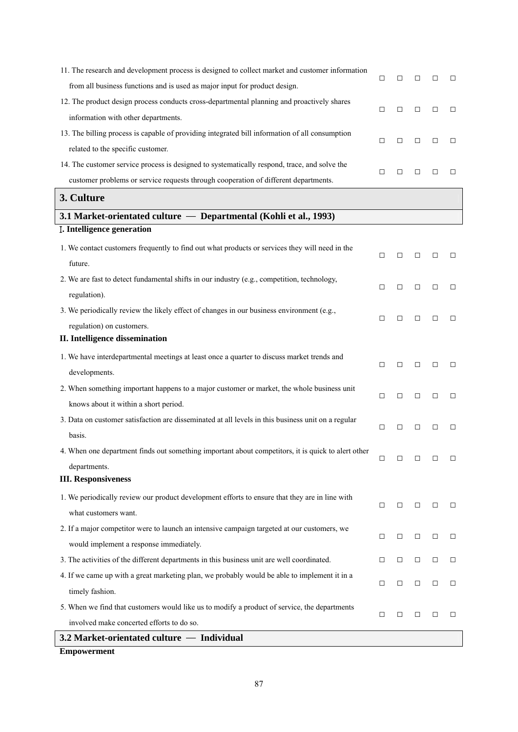| 11. The research and development process is designed to collect market and customer information    | □      | □      | $\Box$ | □      | □      |
|----------------------------------------------------------------------------------------------------|--------|--------|--------|--------|--------|
| from all business functions and is used as major input for product design.                         |        |        |        |        |        |
| 12. The product design process conducts cross-departmental planning and proactively shares         | $\Box$ | □      | $\Box$ | □      | $\Box$ |
| information with other departments.                                                                |        |        |        |        |        |
| 13. The billing process is capable of providing integrated bill information of all consumption     | $\Box$ | $\Box$ | $\Box$ | □      | $\Box$ |
| related to the specific customer.                                                                  |        |        |        |        |        |
| 14. The customer service process is designed to systematically respond, trace, and solve the       | $\Box$ | □      | $\Box$ | □      | $\Box$ |
| customer problems or service requests through cooperation of different departments.                |        |        |        |        |        |
| 3. Culture                                                                                         |        |        |        |        |        |
| 3.1 Market-orientated culture - Departmental (Kohli et al., 1993)                                  |        |        |        |        |        |
| <b>I. Intelligence generation</b>                                                                  |        |        |        |        |        |
| 1. We contact customers frequently to find out what products or services they will need in the     | □      | $\Box$ | $\Box$ | □      | $\Box$ |
| future.                                                                                            |        |        |        |        |        |
| 2. We are fast to detect fundamental shifts in our industry (e.g., competition, technology,        | $\Box$ | $\Box$ | $\Box$ | $\Box$ | $\Box$ |
| regulation).                                                                                       |        |        |        |        |        |
| 3. We periodically review the likely effect of changes in our business environment (e.g.,          | $\Box$ | □      | $\Box$ | □      | $\Box$ |
| regulation) on customers.                                                                          |        |        |        |        |        |
| II. Intelligence dissemination                                                                     |        |        |        |        |        |
| 1. We have interdepartmental meetings at least once a quarter to discuss market trends and         | $\Box$ | □      | $\Box$ | $\Box$ | $\Box$ |
| developments.                                                                                      |        |        |        |        |        |
| 2. When something important happens to a major customer or market, the whole business unit         | $\Box$ | □      | $\Box$ | $\Box$ | $\Box$ |
| knows about it within a short period.                                                              |        |        |        |        |        |
| 3. Data on customer satisfaction are disseminated at all levels in this business unit on a regular | $\Box$ | □      | $\Box$ | $\Box$ | □      |
| basis.                                                                                             |        |        |        |        |        |
| 4. When one department finds out something important about competitors, it is quick to alert other | $\Box$ | $\Box$ | $\Box$ | $\Box$ | $\Box$ |
| departments.                                                                                       |        |        |        |        |        |
| <b>III. Responsiveness</b>                                                                         |        |        |        |        |        |
| 1. We periodically review our product development efforts to ensure that they are in line with     | $\Box$ | □      | $\Box$ | □      | $\Box$ |
| what customers want.                                                                               |        |        |        |        |        |
| 2. If a major competitor were to launch an intensive campaign targeted at our customers, we        | $\Box$ | $\Box$ | $\Box$ | □      | $\Box$ |
| would implement a response immediately.                                                            |        |        |        |        |        |
| 3. The activities of the different departments in this business unit are well coordinated.         | □      | $\Box$ | $\Box$ | □      | $\Box$ |
| 4. If we came up with a great marketing plan, we probably would be able to implement it in a       | $\Box$ | $\Box$ | $\Box$ | □      | $\Box$ |
| timely fashion.                                                                                    |        |        |        |        |        |
| 5. When we find that customers would like us to modify a product of service, the departments       | $\Box$ | □      | $\Box$ | $\Box$ | $\Box$ |
| involved make concerted efforts to do so.                                                          |        |        |        |        |        |
| 3.2 Market-orientated culture — Individual                                                         |        |        |        |        |        |

**Empowerment**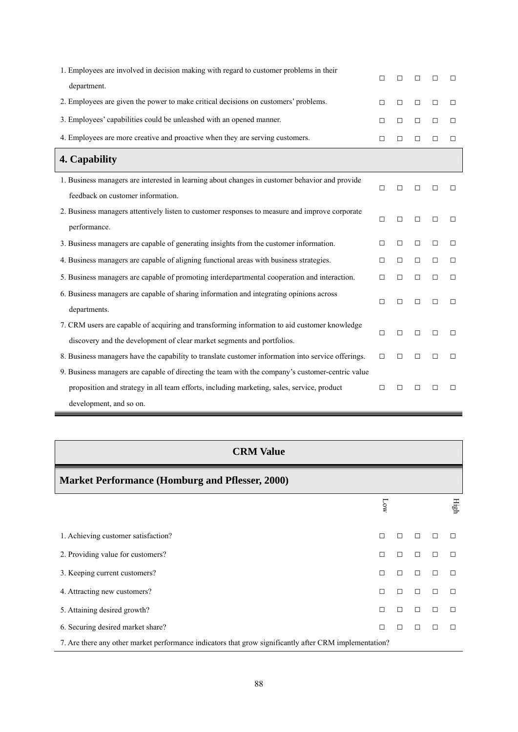| 1. Employees are involved in decision making with regard to customer problems in their             |        |        |        |        |        |
|----------------------------------------------------------------------------------------------------|--------|--------|--------|--------|--------|
| department.                                                                                        | П      | П      | П      | П      | □      |
| 2. Employees are given the power to make critical decisions on customers' problems.                | $\Box$ | $\Box$ | $\Box$ | $\Box$ | $\Box$ |
| 3. Employees' capabilities could be unleashed with an opened manner.                               | $\Box$ | $\Box$ | $\Box$ | $\Box$ | $\Box$ |
| 4. Employees are more creative and proactive when they are serving customers.                      | $\Box$ | $\Box$ | $\Box$ | $\Box$ | $\Box$ |
| 4. Capability                                                                                      |        |        |        |        |        |
| 1. Business managers are interested in learning about changes in customer behavior and provide     | □      | П      | □      | П      | □      |
| feedback on customer information.                                                                  |        |        |        |        |        |
| 2. Business managers attentively listen to customer responses to measure and improve corporate     | $\Box$ | $\Box$ | $\Box$ | $\Box$ | $\Box$ |
| performance.                                                                                       |        |        |        |        |        |
| 3. Business managers are capable of generating insights from the customer information.             | □      | $\Box$ | $\Box$ | □      | □      |
| 4. Business managers are capable of aligning functional areas with business strategies.            | П      | $\Box$ | $\Box$ | $\Box$ | $\Box$ |
| 5. Business managers are capable of promoting interdepartmental cooperation and interaction.       | П      | $\Box$ | $\Box$ | $\Box$ | $\Box$ |
| 6. Business managers are capable of sharing information and integrating opinions across            |        |        |        |        |        |
| departments.                                                                                       | $\Box$ | $\Box$ | $\Box$ | $\Box$ | $\Box$ |
| 7. CRM users are capable of acquiring and transforming information to aid customer knowledge       | $\Box$ | $\Box$ | $\Box$ | $\Box$ | $\Box$ |
| discovery and the development of clear market segments and portfolios.                             |        |        |        |        |        |
| 8. Business managers have the capability to translate customer information into service offerings. | $\Box$ | П      | $\Box$ | $\Box$ | $\Box$ |
| 9. Business managers are capable of directing the team with the company's customer-centric value   |        |        |        |        |        |
| proposition and strategy in all team efforts, including marketing, sales, service, product         | $\Box$ | П      | □      | □      | □      |
| development, and so on.                                                                            |        |        |        |        |        |

| <b>CRM Value</b>                                                                                       |     |        |        |   |      |  |  |  |  |  |
|--------------------------------------------------------------------------------------------------------|-----|--------|--------|---|------|--|--|--|--|--|
| <b>Market Performance (Homburg and Pflesser, 2000)</b>                                                 |     |        |        |   |      |  |  |  |  |  |
|                                                                                                        | MОТ |        |        |   | High |  |  |  |  |  |
| 1. Achieving customer satisfaction?                                                                    | П   | П      | П      |   |      |  |  |  |  |  |
| 2. Providing value for customers?                                                                      | П   | П      | Л      | П |      |  |  |  |  |  |
| 3. Keeping current customers?                                                                          | П   | $\Box$ | $\Box$ | П | Л    |  |  |  |  |  |
| 4. Attracting new customers?                                                                           | П   | П      | $\Box$ | П |      |  |  |  |  |  |
| 5. Attaining desired growth?                                                                           | П   | П      | $\Box$ | П | Л    |  |  |  |  |  |
| 6. Securing desired market share?                                                                      | П   | П      | Л      |   | Л    |  |  |  |  |  |
| 7. Are there any other market performance indicators that grow significantly after CRM implementation? |     |        |        |   |      |  |  |  |  |  |